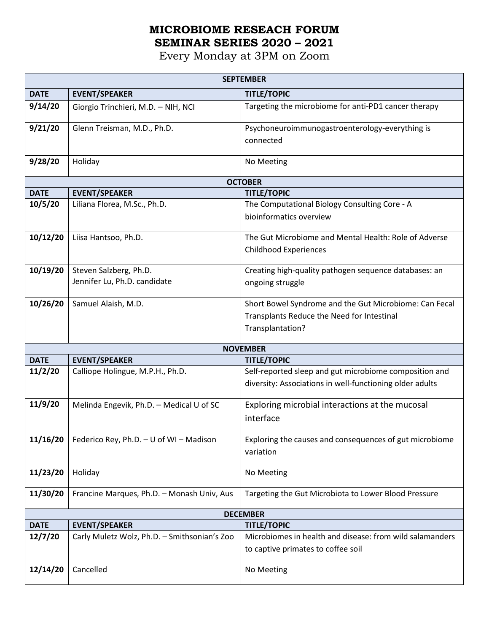## **MICROBIOME RESEACH FORUM SEMINAR SERIES 2020 – 2021**

Every Monday at 3PM on Zoom

| <b>SEPTEMBER</b> |                                              |                                                          |  |  |
|------------------|----------------------------------------------|----------------------------------------------------------|--|--|
| <b>DATE</b>      | <b>EVENT/SPEAKER</b>                         | <b>TITLE/TOPIC</b>                                       |  |  |
| 9/14/20          | Giorgio Trinchieri, M.D. - NIH, NCI          | Targeting the microbiome for anti-PD1 cancer therapy     |  |  |
| 9/21/20          | Glenn Treisman, M.D., Ph.D.                  | Psychoneuroimmunogastroenterology-everything is          |  |  |
|                  |                                              | connected                                                |  |  |
| 9/28/20          | Holiday                                      | No Meeting                                               |  |  |
| <b>OCTOBER</b>   |                                              |                                                          |  |  |
| <b>DATE</b>      | <b>EVENT/SPEAKER</b>                         | <b>TITLE/TOPIC</b>                                       |  |  |
| 10/5/20          | Liliana Florea, M.Sc., Ph.D.                 | The Computational Biology Consulting Core - A            |  |  |
|                  |                                              | bioinformatics overview                                  |  |  |
| 10/12/20         | Liisa Hantsoo, Ph.D.                         | The Gut Microbiome and Mental Health: Role of Adverse    |  |  |
|                  |                                              | <b>Childhood Experiences</b>                             |  |  |
| 10/19/20         | Steven Salzberg, Ph.D.                       | Creating high-quality pathogen sequence databases: an    |  |  |
|                  | Jennifer Lu, Ph.D. candidate                 | ongoing struggle                                         |  |  |
| 10/26/20         | Samuel Alaish, M.D.                          | Short Bowel Syndrome and the Gut Microbiome: Can Fecal   |  |  |
|                  |                                              | Transplants Reduce the Need for Intestinal               |  |  |
|                  |                                              | Transplantation?                                         |  |  |
|                  |                                              |                                                          |  |  |
| <b>DATE</b>      | <b>EVENT/SPEAKER</b>                         | <b>NOVEMBER</b><br><b>TITLE/TOPIC</b>                    |  |  |
| 11/2/20          | Calliope Holingue, M.P.H., Ph.D.             | Self-reported sleep and gut microbiome composition and   |  |  |
|                  |                                              | diversity: Associations in well-functioning older adults |  |  |
| 11/9/20          | Melinda Engevik, Ph.D. - Medical U of SC     | Exploring microbial interactions at the mucosal          |  |  |
|                  |                                              | interface                                                |  |  |
| 11/16/20         | Federico Rey, Ph.D. - U of WI - Madison      | Exploring the causes and consequences of gut microbiome  |  |  |
|                  |                                              | variation                                                |  |  |
| 11/23/20         | Holiday                                      | No Meeting                                               |  |  |
| 11/30/20         | Francine Marques, Ph.D. - Monash Univ, Aus   | Targeting the Gut Microbiota to Lower Blood Pressure     |  |  |
|                  |                                              | <b>DECEMBER</b>                                          |  |  |
| <b>DATE</b>      | <b>EVENT/SPEAKER</b>                         | <b>TITLE/TOPIC</b>                                       |  |  |
| 12/7/20          | Carly Muletz Wolz, Ph.D. - Smithsonian's Zoo | Microbiomes in health and disease: from wild salamanders |  |  |
|                  |                                              | to captive primates to coffee soil                       |  |  |
| 12/14/20         | Cancelled                                    | No Meeting                                               |  |  |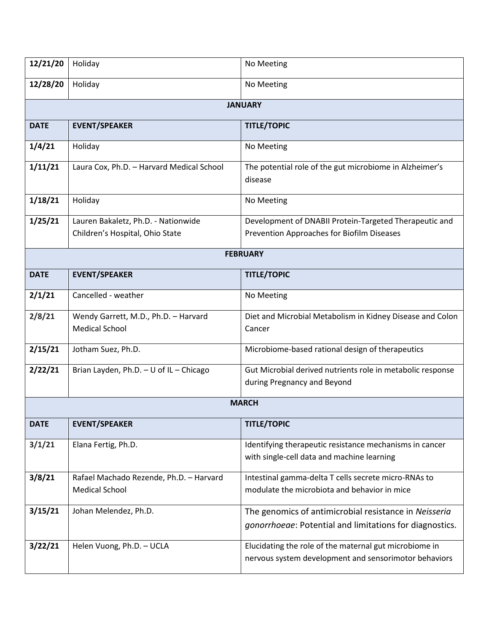| 12/21/20        | Holiday                                                                | No Meeting                                                                                                       |  |  |
|-----------------|------------------------------------------------------------------------|------------------------------------------------------------------------------------------------------------------|--|--|
| 12/28/20        | Holiday                                                                | No Meeting                                                                                                       |  |  |
| <b>JANUARY</b>  |                                                                        |                                                                                                                  |  |  |
| <b>DATE</b>     | <b>EVENT/SPEAKER</b>                                                   | <b>TITLE/TOPIC</b>                                                                                               |  |  |
| 1/4/21          | Holiday                                                                | No Meeting                                                                                                       |  |  |
| 1/11/21         | Laura Cox, Ph.D. - Harvard Medical School                              | The potential role of the gut microbiome in Alzheimer's<br>disease                                               |  |  |
| 1/18/21         | Holiday                                                                | No Meeting                                                                                                       |  |  |
| 1/25/21         | Lauren Bakaletz, Ph.D. - Nationwide<br>Children's Hospital, Ohio State | Development of DNABII Protein-Targeted Therapeutic and<br>Prevention Approaches for Biofilm Diseases             |  |  |
| <b>FEBRUARY</b> |                                                                        |                                                                                                                  |  |  |
| <b>DATE</b>     | <b>EVENT/SPEAKER</b>                                                   | <b>TITLE/TOPIC</b>                                                                                               |  |  |
| 2/1/21          | Cancelled - weather                                                    | No Meeting                                                                                                       |  |  |
| 2/8/21          | Wendy Garrett, M.D., Ph.D. - Harvard<br><b>Medical School</b>          | Diet and Microbial Metabolism in Kidney Disease and Colon<br>Cancer                                              |  |  |
| 2/15/21         | Jotham Suez, Ph.D.                                                     | Microbiome-based rational design of therapeutics                                                                 |  |  |
| 2/22/21         | Brian Layden, Ph.D. - U of IL - Chicago                                | Gut Microbial derived nutrients role in metabolic response<br>during Pregnancy and Beyond                        |  |  |
|                 |                                                                        | <b>MARCH</b>                                                                                                     |  |  |
| <b>DATE</b>     | <b>EVENT/SPEAKER</b>                                                   | <b>TITLE/TOPIC</b>                                                                                               |  |  |
| 3/1/21          | Elana Fertig, Ph.D.                                                    | Identifying therapeutic resistance mechanisms in cancer<br>with single-cell data and machine learning            |  |  |
| 3/8/21          | Rafael Machado Rezende, Ph.D. - Harvard<br><b>Medical School</b>       | Intestinal gamma-delta T cells secrete micro-RNAs to<br>modulate the microbiota and behavior in mice             |  |  |
| 3/15/21         | Johan Melendez, Ph.D.                                                  | The genomics of antimicrobial resistance in Neisseria<br>gonorrhoeae: Potential and limitations for diagnostics. |  |  |
| 3/22/21         | Helen Vuong, Ph.D. - UCLA                                              | Elucidating the role of the maternal gut microbiome in<br>nervous system development and sensorimotor behaviors  |  |  |